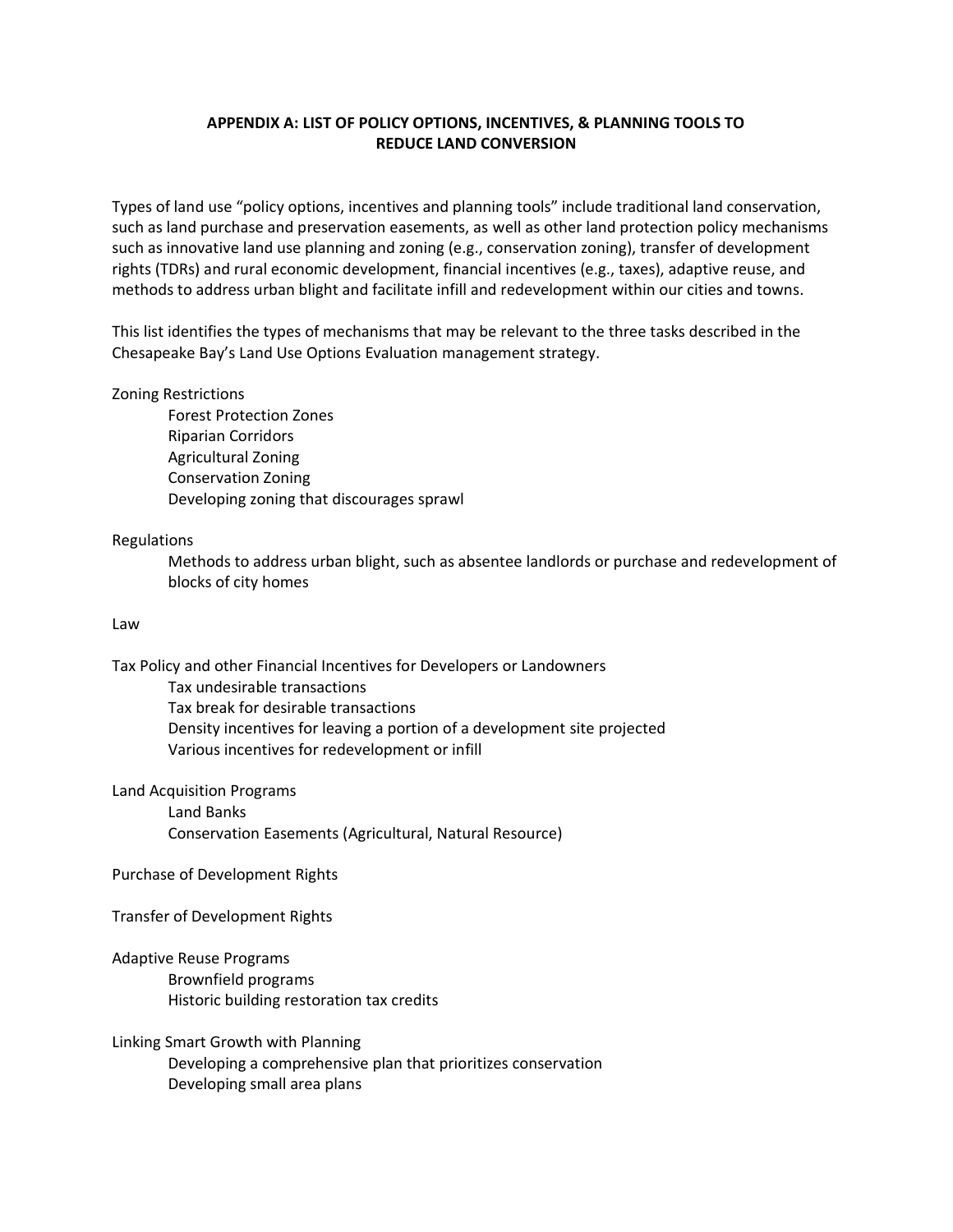# **APPENDIX A: LIST OF POLICY OPTIONS, INCENTIVES, & PLANNING TOOLS TO REDUCE LAND CONVERSION**

Types of land use "policy options, incentives and planning tools" include traditional land conservation, such as land purchase and preservation easements, as well as other land protection policy mechanisms such as innovative land use planning and zoning (e.g., conservation zoning), transfer of development rights (TDRs) and rural economic development, financial incentives (e.g., taxes), adaptive reuse, and methods to address urban blight and facilitate infill and redevelopment within our cities and towns.

This list identifies the types of mechanisms that may be relevant to the three tasks described in the Chesapeake Bay's Land Use Options Evaluation management strategy.

## Zoning Restrictions

Forest Protection Zones Riparian Corridors Agricultural Zoning Conservation Zoning Developing zoning that discourages sprawl

#### Regulations

Methods to address urban blight, such as absentee landlords or purchase and redevelopment of blocks of city homes

## Law

Tax Policy and other Financial Incentives for Developers or Landowners

Tax undesirable transactions Tax break for desirable transactions Density incentives for leaving a portion of a development site projected Various incentives for redevelopment or infill

Land Acquisition Programs

Land Banks Conservation Easements (Agricultural, Natural Resource)

## Purchase of Development Rights

Transfer of Development Rights

Adaptive Reuse Programs Brownfield programs Historic building restoration tax credits

Linking Smart Growth with Planning Developing a comprehensive plan that prioritizes conservation Developing small area plans